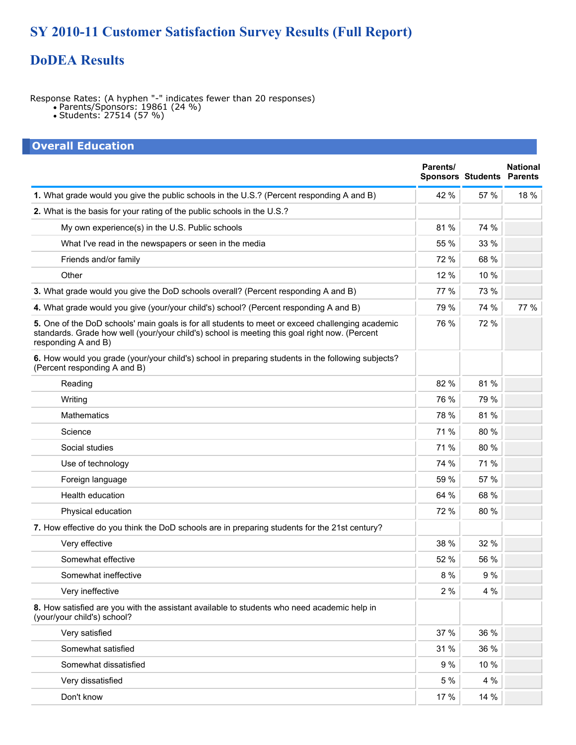## **SY 2010-11 Customer Satisfaction Survey Results (Full Report)**

### **DoDEA Results**

Response Rates: (A hyphen "-" indicates fewer than 20 responses)

- Parents/Sponsors: 19861 (24 %)
- Students: 27514 (57 %)

#### **Overall Education Parents/ Sponsors Students National Parents 1.** What grade would you give the public schools in the U.S.? (Percent responding A and B) 42 % 57 % 18 % **2.** What is the basis for your rating of the public schools in the U.S.? My own experience(s) in the U.S. Public schools 81 % 74 % What I've read in the newspapers or seen in the media  $\sim$  55 %  $\mid$  33 % Friends and/or family 68 % Other 12 % 10 % **3.** What grade would you give the DoD schools overall? (Percent responding A and B) 77 % 73 % **4.** What grade would you give (your/your child's) school? (Percent responding A and B) 79 % 74 % 77 % **5.** One of the DoD schools' main goals is for all students to meet or exceed challenging academic standards. Grade how well (your/your child's) school is meeting this goal right now. (Percent responding A and B) 76 % 72 % **6.** How would you grade (your/your child's) school in preparing students in the following subjects? (Percent responding A and B) Reading  $82 \%$   $81 \%$ Writing  $\sim$  76 %  $\mid$  79 %  $\mid$  79 % Mathematics  $\begin{array}{|c|c|c|c|c|}\hline \text{Mathematics} & \text{31 \%} & \text{81 \%} \ \hline \end{array}$ Science  $\sim$  71 %  $\mid$  80 % Social studies  $71\%$   $80\%$ Use of technology **71** % 71 % Foreign language 59 % 57 % Health education  $64\%$  68 % Physical education 72 % 80 % **7.** How effective do you think the DoD schools are in preparing students for the 21st century? Very effective 32 % Somewhat effective 52 % 56 % Somewhat ineffective 8 % 9 % Very ineffective 4 % **8.** How satisfied are you with the assistant available to students who need academic help in (your/your child's) school? Very satisfied  $37\ \% \left| \rule{0.3cm}{.0cm} \right. 36\ \%$

Somewhat satisfied 31 % 36 % Somewhat dissatisfied 9 % 10 % Very dissatisfied the set of the set of the set of the set of the set of the set of the set of the set of the set of the set of the set of the set of the set of the set of the set of the set of the set of the set of the se Don't know 17 % 14 %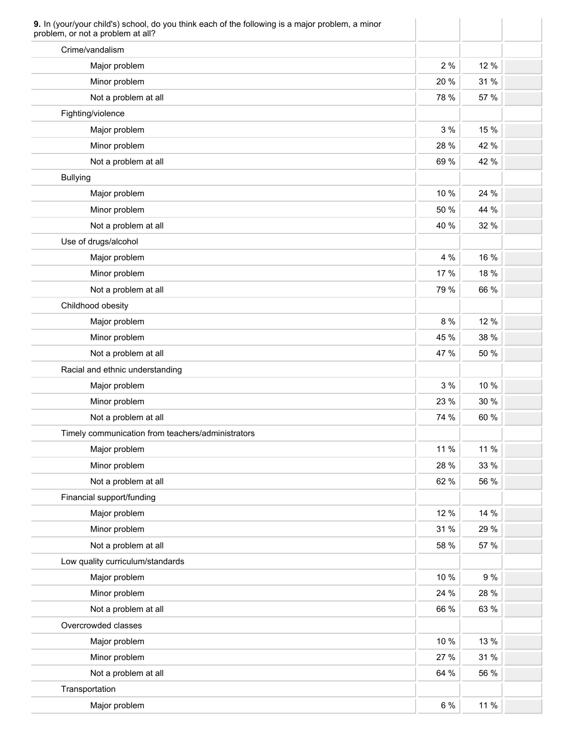| Crime/vandalism                                   |      |      |
|---------------------------------------------------|------|------|
| Major problem                                     | 2 %  | 12 % |
| Minor problem                                     | 20 % | 31 % |
| Not a problem at all                              | 78 % | 57 % |
| Fighting/violence                                 |      |      |
| Major problem                                     | 3%   | 15 % |
| Minor problem                                     | 28 % | 42 % |
| Not a problem at all                              | 69 % | 42 % |
| <b>Bullying</b>                                   |      |      |
| Major problem                                     | 10 % | 24 % |
| Minor problem                                     | 50 % | 44 % |
| Not a problem at all                              | 40 % | 32 % |
| Use of drugs/alcohol                              |      |      |
| Major problem                                     | 4 %  | 16 % |
| Minor problem                                     | 17 % | 18 % |
| Not a problem at all                              | 79 % | 66 % |
| Childhood obesity                                 |      |      |
| Major problem                                     | 8 %  | 12 % |
| Minor problem                                     | 45 % | 38 % |
| Not a problem at all                              | 47 % | 50 % |
| Racial and ethnic understanding                   |      |      |
| Major problem                                     | 3 %  | 10 % |
| Minor problem                                     | 23 % | 30 % |
| Not a problem at all                              | 74 % | 60 % |
| Timely communication from teachers/administrators |      |      |
| Major problem                                     | 11 % | 11 % |
| Minor problem                                     | 28 % | 33 % |
| Not a problem at all                              | 62 % | 56 % |
| Financial support/funding                         |      |      |
| Major problem                                     | 12 % | 14 % |
| Minor problem                                     | 31 % | 29 % |
| Not a problem at all                              | 58 % | 57 % |
| Low quality curriculum/standards                  |      |      |
| Major problem                                     | 10 % | 9 %  |
| Minor problem                                     | 24 % | 28 % |
| Not a problem at all                              | 66 % | 63 % |
| Overcrowded classes                               |      |      |
| Major problem                                     | 10 % | 13 % |
| Minor problem                                     | 27 % | 31 % |
| Not a problem at all                              | 64 % | 56 % |
| Transportation                                    |      |      |
|                                                   | 6 %  | 11 % |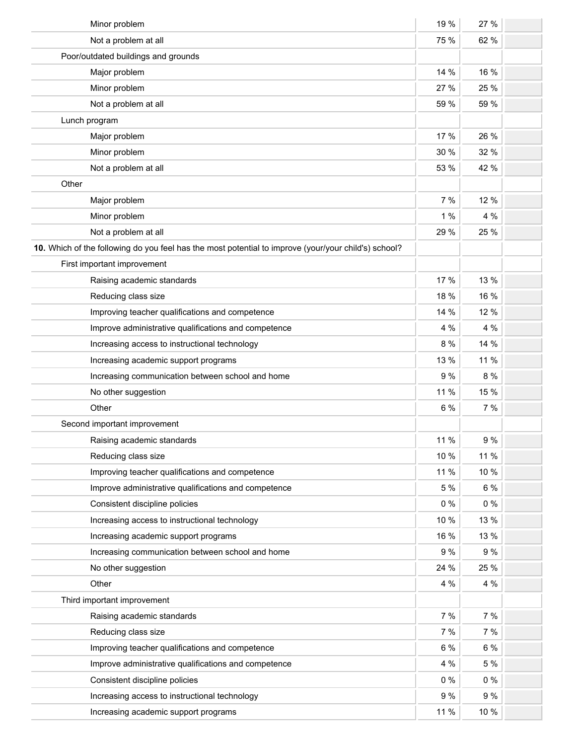| Minor problem                                                                                        | 19 %  | 27 %  |  |
|------------------------------------------------------------------------------------------------------|-------|-------|--|
| Not a problem at all                                                                                 | 75 %  | 62 %  |  |
| Poor/outdated buildings and grounds                                                                  |       |       |  |
| Major problem                                                                                        | 14 %  | 16 %  |  |
| Minor problem                                                                                        | 27 %  | 25 %  |  |
| Not a problem at all                                                                                 | 59 %  | 59 %  |  |
| Lunch program                                                                                        |       |       |  |
| Major problem                                                                                        | 17 %  | 26 %  |  |
| Minor problem                                                                                        | 30 %  | 32 %  |  |
| Not a problem at all                                                                                 | 53 %  | 42 %  |  |
| Other                                                                                                |       |       |  |
| Major problem                                                                                        | 7 %   | 12 %  |  |
| Minor problem                                                                                        | 1%    | 4 %   |  |
| Not a problem at all                                                                                 | 29 %  | 25 %  |  |
| 10. Which of the following do you feel has the most potential to improve (your/your child's) school? |       |       |  |
| First important improvement                                                                          |       |       |  |
| Raising academic standards                                                                           | 17 %  | 13 %  |  |
| Reducing class size                                                                                  | 18 %  | 16 %  |  |
| Improving teacher qualifications and competence                                                      | 14 %  | 12 %  |  |
| Improve administrative qualifications and competence                                                 | 4 %   | 4 %   |  |
| Increasing access to instructional technology                                                        | 8 %   | 14 %  |  |
| Increasing academic support programs                                                                 | 13 %  | 11 %  |  |
| Increasing communication between school and home                                                     | 9%    | 8 %   |  |
| No other suggestion                                                                                  | 11 %  | 15 %  |  |
| Other                                                                                                | 6 %   | 7 %   |  |
| Second important improvement                                                                         |       |       |  |
| Raising academic standards                                                                           | 11 %  | 9 %   |  |
| Reducing class size                                                                                  | 10 %  | 11 %  |  |
| Improving teacher qualifications and competence                                                      | 11 %  | 10 %  |  |
| Improve administrative qualifications and competence                                                 | 5 %   | $6\%$ |  |
| Consistent discipline policies                                                                       | $0\%$ | $0\%$ |  |
| Increasing access to instructional technology                                                        | 10 %  | 13 %  |  |
| Increasing academic support programs                                                                 | 16 %  | 13 %  |  |
| Increasing communication between school and home                                                     | 9%    | 9%    |  |
| No other suggestion                                                                                  | 24 %  | 25 %  |  |
| Other                                                                                                | 4 %   | 4 %   |  |
| Third important improvement                                                                          |       |       |  |
| Raising academic standards                                                                           | 7%    | 7%    |  |
| Reducing class size                                                                                  | 7 %   | 7 %   |  |
| Improving teacher qualifications and competence                                                      | 6 %   | $6\%$ |  |
| Improve administrative qualifications and competence                                                 | 4 %   | 5 %   |  |
| Consistent discipline policies                                                                       | $0\%$ | $0\%$ |  |
| Increasing access to instructional technology                                                        | 9%    | 9%    |  |
| Increasing academic support programs                                                                 | 11 %  | 10 %  |  |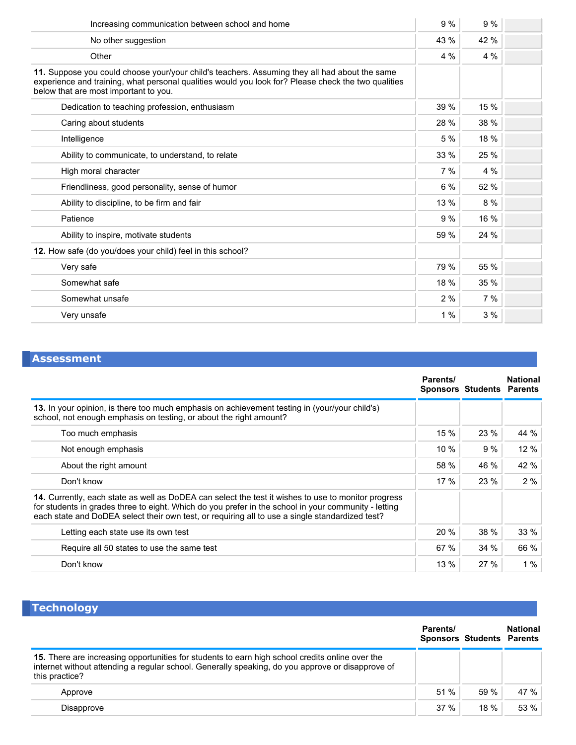| Increasing communication between school and home                                                                                                                                                                                              | 9%   | 9%   |  |
|-----------------------------------------------------------------------------------------------------------------------------------------------------------------------------------------------------------------------------------------------|------|------|--|
| No other suggestion                                                                                                                                                                                                                           | 43 % | 42 % |  |
| Other                                                                                                                                                                                                                                         | 4 %  | 4%   |  |
| 11. Suppose you could choose your/your child's teachers. Assuming they all had about the same<br>experience and training, what personal qualities would you look for? Please check the two qualities<br>below that are most important to you. |      |      |  |
| Dedication to teaching profession, enthusiasm                                                                                                                                                                                                 | 39 % | 15 % |  |
| Caring about students                                                                                                                                                                                                                         | 28 % | 38 % |  |
| Intelligence                                                                                                                                                                                                                                  | 5 %  | 18 % |  |
| Ability to communicate, to understand, to relate                                                                                                                                                                                              | 33 % | 25 % |  |
| High moral character                                                                                                                                                                                                                          | 7%   | 4%   |  |
| Friendliness, good personality, sense of humor                                                                                                                                                                                                | 6%   | 52 % |  |
| Ability to discipline, to be firm and fair                                                                                                                                                                                                    | 13 % | 8%   |  |
| Patience                                                                                                                                                                                                                                      | 9%   | 16 % |  |
| Ability to inspire, motivate students                                                                                                                                                                                                         | 59 % | 24 % |  |
| 12. How safe (do you/does your child) feel in this school?                                                                                                                                                                                    |      |      |  |
| Very safe                                                                                                                                                                                                                                     | 79 % | 55 % |  |
| Somewhat safe                                                                                                                                                                                                                                 | 18 % | 35 % |  |
| Somewhat unsafe                                                                                                                                                                                                                               | 2%   | 7%   |  |
| Very unsafe                                                                                                                                                                                                                                   | 1%   | 3%   |  |

## **Assessment**

|                                                                                                                                                                                                                                                                                                                | Parents/ | <b>Sponsors Students Parents</b> | <b>National</b> |
|----------------------------------------------------------------------------------------------------------------------------------------------------------------------------------------------------------------------------------------------------------------------------------------------------------------|----------|----------------------------------|-----------------|
| 13. In your opinion, is there too much emphasis on achievement testing in (your/your child's)<br>school, not enough emphasis on testing, or about the right amount?                                                                                                                                            |          |                                  |                 |
| Too much emphasis                                                                                                                                                                                                                                                                                              | 15 %     | 23 %                             | 44 %            |
| Not enough emphasis                                                                                                                                                                                                                                                                                            | 10%      | 9%                               | 12 %            |
| About the right amount                                                                                                                                                                                                                                                                                         | 58 %     | 46 %                             | 42 %            |
| Don't know                                                                                                                                                                                                                                                                                                     | 17%      | 23%                              | 2%              |
| 14. Currently, each state as well as DoDEA can select the test it wishes to use to monitor progress<br>for students in grades three to eight. Which do you prefer in the school in your community - letting<br>each state and DoDEA select their own test, or requiring all to use a single standardized test? |          |                                  |                 |
| Letting each state use its own test                                                                                                                                                                                                                                                                            | 20%      | 38 %                             | 33%             |
| Require all 50 states to use the same test                                                                                                                                                                                                                                                                     | 67 %     | 34 %                             | 66 %            |
| Don't know                                                                                                                                                                                                                                                                                                     | 13%      | 27%                              | $1\%$           |

| <b>Technology</b>                                                                                                                                                                                                     |                                              |         |                 |
|-----------------------------------------------------------------------------------------------------------------------------------------------------------------------------------------------------------------------|----------------------------------------------|---------|-----------------|
|                                                                                                                                                                                                                       | Parents/<br><b>Sponsors Students Parents</b> |         | <b>National</b> |
| 15. There are increasing opportunities for students to earn high school credits online over the<br>internet without attending a regular school. Generally speaking, do you approve or disapprove of<br>this practice? |                                              |         |                 |
| Approve                                                                                                                                                                                                               | 51 %                                         | 59%     | 47 %            |
| Disapprove                                                                                                                                                                                                            | 37%                                          | $18 \%$ | 53 %            |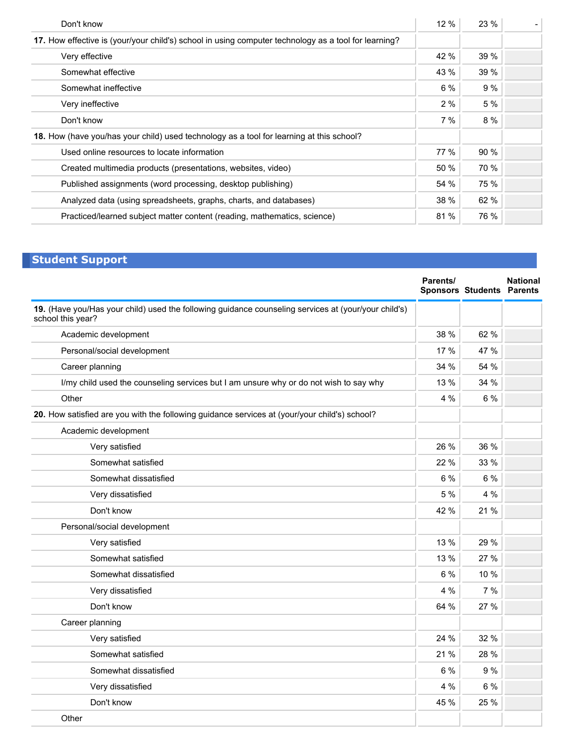| Don't know                                                                                           | 12%  | 23%  |  |
|------------------------------------------------------------------------------------------------------|------|------|--|
| 17. How effective is (your/your child's) school in using computer technology as a tool for learning? |      |      |  |
| Very effective                                                                                       | 42 % | 39 % |  |
| Somewhat effective                                                                                   | 43 % | 39 % |  |
| Somewhat ineffective                                                                                 | 6%   | 9%   |  |
| Very ineffective                                                                                     | 2%   | 5 %  |  |
| Don't know                                                                                           | 7%   | 8 %  |  |
| 18. How (have you/has your child) used technology as a tool for learning at this school?             |      |      |  |
| Used online resources to locate information                                                          | 77 % | 90%  |  |
| Created multimedia products (presentations, websites, video)                                         | 50 % | 70 % |  |
| Published assignments (word processing, desktop publishing)                                          | 54 % | 75 % |  |
| Analyzed data (using spreadsheets, graphs, charts, and databases)                                    | 38 % | 62 % |  |
| Practiced/learned subject matter content (reading, mathematics, science)                             | 81%  | 76 % |  |

# **Student Support**

|                                                                                                                           | Parents/ | <b>Sponsors Students Parents</b> | <b>National</b> |
|---------------------------------------------------------------------------------------------------------------------------|----------|----------------------------------|-----------------|
| 19. (Have you/Has your child) used the following guidance counseling services at (your/your child's)<br>school this year? |          |                                  |                 |
| Academic development                                                                                                      | 38 %     | 62 %                             |                 |
| Personal/social development                                                                                               | 17 %     | 47 %                             |                 |
| Career planning                                                                                                           | 34 %     | 54 %                             |                 |
| I/my child used the counseling services but I am unsure why or do not wish to say why                                     | 13 %     | 34 %                             |                 |
| Other                                                                                                                     | 4 %      | 6 %                              |                 |
| 20. How satisfied are you with the following guidance services at (your/your child's) school?                             |          |                                  |                 |
| Academic development                                                                                                      |          |                                  |                 |
| Very satisfied                                                                                                            | 26 %     | 36 %                             |                 |
| Somewhat satisfied                                                                                                        | 22 %     | 33 %                             |                 |
| Somewhat dissatisfied                                                                                                     | 6 %      | 6 %                              |                 |
| Very dissatisfied                                                                                                         | 5 %      | 4 %                              |                 |
| Don't know                                                                                                                | 42 %     | 21 %                             |                 |
| Personal/social development                                                                                               |          |                                  |                 |
| Very satisfied                                                                                                            | 13 %     | 29 %                             |                 |
| Somewhat satisfied                                                                                                        | 13 %     | 27 %                             |                 |
| Somewhat dissatisfied                                                                                                     | 6 %      | 10 %                             |                 |
| Very dissatisfied                                                                                                         | 4 %      | 7%                               |                 |
| Don't know                                                                                                                | 64 %     | 27 %                             |                 |
| Career planning                                                                                                           |          |                                  |                 |
| Very satisfied                                                                                                            | 24 %     | 32 %                             |                 |
| Somewhat satisfied                                                                                                        | 21 %     | 28 %                             |                 |
| Somewhat dissatisfied                                                                                                     | 6 %      | 9%                               |                 |
| Very dissatisfied                                                                                                         | 4 %      | 6 %                              |                 |
| Don't know                                                                                                                | 45 %     | 25 %                             |                 |
| Other                                                                                                                     |          |                                  |                 |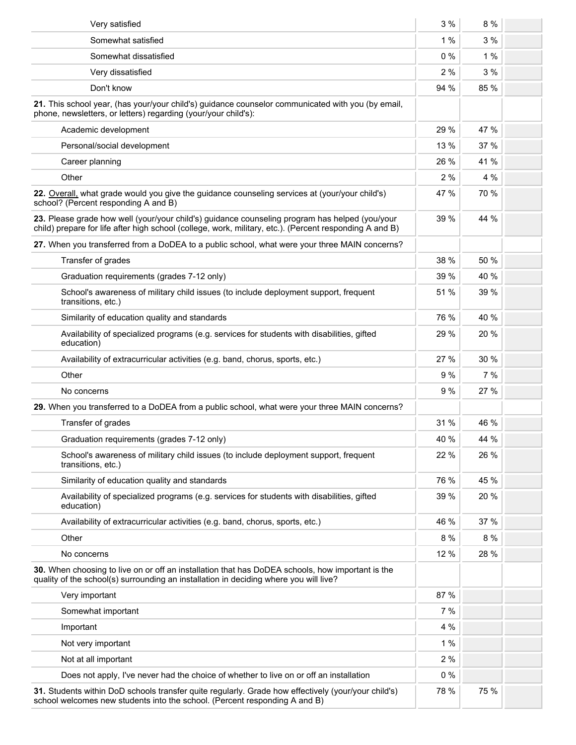| Very satisfied                                                                                                                                                                                            | 3 %   | 8 %  |  |
|-----------------------------------------------------------------------------------------------------------------------------------------------------------------------------------------------------------|-------|------|--|
| Somewhat satisfied                                                                                                                                                                                        | 1%    | 3%   |  |
| Somewhat dissatisfied                                                                                                                                                                                     | $0\%$ | 1%   |  |
| Very dissatisfied                                                                                                                                                                                         | 2%    | 3 %  |  |
| Don't know                                                                                                                                                                                                | 94 %  | 85 % |  |
| 21. This school year, (has your/your child's) guidance counselor communicated with you (by email,<br>phone, newsletters, or letters) regarding (your/your child's):                                       |       |      |  |
| Academic development                                                                                                                                                                                      | 29 %  | 47 % |  |
| Personal/social development                                                                                                                                                                               | 13 %  | 37 % |  |
| Career planning                                                                                                                                                                                           | 26 %  | 41 % |  |
| Other                                                                                                                                                                                                     | 2%    | 4 %  |  |
| 22. Overall, what grade would you give the guidance counseling services at (your/your child's)<br>school? (Percent responding A and B)                                                                    | 47 %  | 70 % |  |
| 23. Please grade how well (your/your child's) guidance counseling program has helped (you/your<br>child) prepare for life after high school (college, work, military, etc.). (Percent responding A and B) | 39 %  | 44 % |  |
| 27. When you transferred from a DoDEA to a public school, what were your three MAIN concerns?                                                                                                             |       |      |  |
| Transfer of grades                                                                                                                                                                                        | 38 %  | 50 % |  |
| Graduation requirements (grades 7-12 only)                                                                                                                                                                | 39 %  | 40 % |  |
| School's awareness of military child issues (to include deployment support, frequent<br>transitions, etc.)                                                                                                | 51 %  | 39 % |  |
| Similarity of education quality and standards                                                                                                                                                             | 76 %  | 40 % |  |
| Availability of specialized programs (e.g. services for students with disabilities, gifted<br>education)                                                                                                  | 29 %  | 20 % |  |
| Availability of extracurricular activities (e.g. band, chorus, sports, etc.)                                                                                                                              | 27 %  | 30 % |  |
| Other                                                                                                                                                                                                     | 9 %   | 7%   |  |
| No concerns                                                                                                                                                                                               | 9%    | 27 % |  |
| 29. When you transferred to a DoDEA from a public school, what were your three MAIN concerns?                                                                                                             |       |      |  |
| Transfer of grades                                                                                                                                                                                        | 31 %  | 46 % |  |
| Graduation requirements (grades 7-12 only)                                                                                                                                                                | 40 %  | 44 % |  |
| School's awareness of military child issues (to include deployment support, frequent<br>transitions, etc.)                                                                                                | 22 %  | 26 % |  |
| Similarity of education quality and standards                                                                                                                                                             | 76 %  | 45 % |  |
| Availability of specialized programs (e.g. services for students with disabilities, gifted<br>education)                                                                                                  | 39 %  | 20 % |  |
| Availability of extracurricular activities (e.g. band, chorus, sports, etc.)                                                                                                                              | 46 %  | 37 % |  |
| Other                                                                                                                                                                                                     | 8 %   | 8 %  |  |
| No concerns                                                                                                                                                                                               | 12 %  | 28 % |  |
| 30. When choosing to live on or off an installation that has DoDEA schools, how important is the<br>quality of the school(s) surrounding an installation in deciding where you will live?                 |       |      |  |
| Very important                                                                                                                                                                                            | 87 %  |      |  |
| Somewhat important                                                                                                                                                                                        | 7%    |      |  |
| Important                                                                                                                                                                                                 | 4 %   |      |  |
| Not very important                                                                                                                                                                                        | 1%    |      |  |
| Not at all important                                                                                                                                                                                      | 2%    |      |  |
| Does not apply, I've never had the choice of whether to live on or off an installation                                                                                                                    | $0\%$ |      |  |
| 31. Students within DoD schools transfer quite regularly. Grade how effectively (your/your child's)<br>school welcomes new students into the school. (Percent responding A and B)                         | 78 %  | 75 % |  |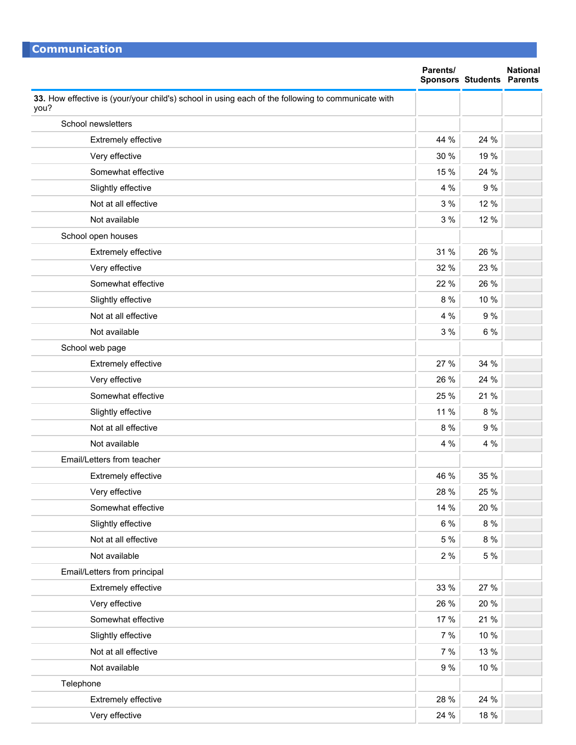| <u>Communication</u>                                                                                       | Parents/ |                                  | <b>National</b> |
|------------------------------------------------------------------------------------------------------------|----------|----------------------------------|-----------------|
|                                                                                                            |          | <b>Sponsors Students Parents</b> |                 |
| 33. How effective is (your/your child's) school in using each of the following to communicate with<br>you? |          |                                  |                 |
| School newsletters                                                                                         |          |                                  |                 |
| Extremely effective                                                                                        | 44 %     | 24 %                             |                 |
| Very effective                                                                                             | 30 %     | 19 %                             |                 |
| Somewhat effective                                                                                         | 15 %     | 24 %                             |                 |
| Slightly effective                                                                                         | 4 %      | 9 %                              |                 |
| Not at all effective                                                                                       | 3%       | 12 %                             |                 |
| Not available                                                                                              | 3%       | 12 %                             |                 |
| School open houses                                                                                         |          |                                  |                 |
| Extremely effective                                                                                        | 31 %     | 26 %                             |                 |
| Very effective                                                                                             | 32 %     | 23 %                             |                 |
| Somewhat effective                                                                                         | 22 %     | 26 %                             |                 |
| Slightly effective                                                                                         | 8 %      | 10 %                             |                 |
| Not at all effective                                                                                       | 4 %      | 9 %                              |                 |
| Not available                                                                                              | 3%       | 6 %                              |                 |
| School web page                                                                                            |          |                                  |                 |
| Extremely effective                                                                                        | 27 %     | 34 %                             |                 |
| Very effective                                                                                             | 26 %     | 24 %                             |                 |
| Somewhat effective                                                                                         | 25 %     | 21 %                             |                 |
| Slightly effective                                                                                         | 11 %     | 8 %                              |                 |
| Not at all effective                                                                                       | 8 %      | 9%                               |                 |
| Not available                                                                                              | 4 %      | 4 %                              |                 |
| Email/Letters from teacher                                                                                 |          |                                  |                 |
| <b>Extremely effective</b>                                                                                 | 46 %     | 35 %                             |                 |
| Very effective                                                                                             | 28 %     | 25 %                             |                 |
| Somewhat effective                                                                                         | 14 %     | 20 %                             |                 |
| Slightly effective                                                                                         | 6 %      | 8 %                              |                 |
| Not at all effective                                                                                       | 5 %      | $8\ \%$                          |                 |
| Not available                                                                                              | 2%       | 5 %                              |                 |
| Email/Letters from principal                                                                               |          |                                  |                 |
| Extremely effective                                                                                        | 33 %     | 27 %                             |                 |
| Very effective                                                                                             | 26 %     | 20 %                             |                 |
| Somewhat effective                                                                                         | 17 %     | 21 %                             |                 |
| Slightly effective                                                                                         | 7%       | 10 %                             |                 |
| Not at all effective                                                                                       | 7 %      | 13 %                             |                 |
| Not available                                                                                              | 9 %      | 10 %                             |                 |
| Telephone                                                                                                  |          |                                  |                 |
| Extremely effective                                                                                        | 28 %     | 24 %                             |                 |
| Very effective                                                                                             | 24 %     | 18 %                             |                 |